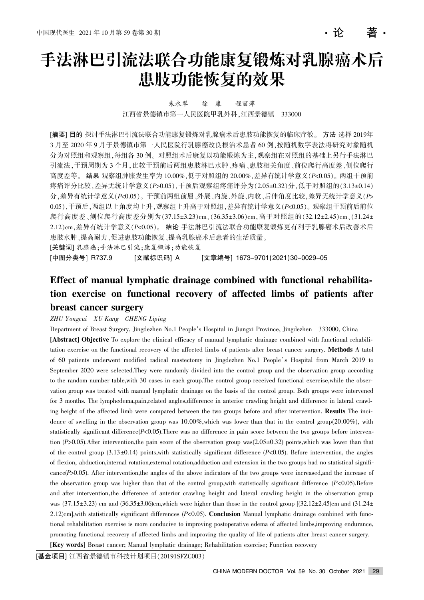・论

朱永翠 徐 康 程丽萍 江西省景德镇市第一人民医院甲乳外科,江西景德镇 333000

[摘要] 目的 探讨手法淋巴引流法联合功能康复锻炼对乳腺癌术后患肢功能恢复的临床疗效。方法 选择 2019年 3 月至 2020 年 9 月于景德镇市第一人民医院行乳腺癌改良根治术患者 60 例,按随机数字表法将研究对象随机 分为对照组和观察组,每组各 30 例。对照组术后康复以功能锻炼为主,观察组在对照组的基础上另行手法淋巴 引流法,干预周期为 3 个月,比较干预前后两组患肢淋巴水肿、疼痛、患肢相关角度、前位爬行高度差、侧位爬行 高度差等。结果 观察组肿胀发生率为 10.00%,低于对照组的 20.00%,差异有统计学意义(P<0.05)。两组干预前 疼痛评分比较,差异无统计学意义(P>0.05),干预后观察组疼痛评分为(2.05±0.32)分,低于对照组的(3.13±0.14) 分,差异有统计学意义(P<0.05)。干预前两组前屈、外展、内旋、外旋、内收、后伸角度比较,差异无统计学意义(P> 0.05),干预后,两组以上角度均上升,观察组上升高于对照组,差异有统计学意义(P<0.05)。观察组干预前后前位 爬行高度差、侧位爬行高度差分别为(37.15±3.23)cm、(36.35±3.06)cm,高于对照组的(32.12±2.45)cm、(31.24± 2.12) cm, 差异有统计学意义 (P<0.05)。 结论 手法淋巴引流法联合功能康复锻炼更有利于乳腺癌术后改善术后 患肢水肿、提高耐力、促进患肢功能恢复、提高乳腺癌术后患者的生活质量。 [关键词] 乳腺癌:手法淋巴引流;康复锻炼;功能恢复

[中图分类号] R737.9 [文献标识码] A [文章编号] 1673–9701(2021)30–0029–05

# Effect of manual lymphatic drainage combined with functional rehabilitation exercise on functional recovery of affected limbs of patients after breast cancer surgery

#### ZHU Yongcui XU Kang CHENG Liping

Department of Breast Surgery, Jingdezhen No.1 People's Hospital in Jiangxi Province, Jingdezhen 333000, China [Abstract] Objective To explore the clinical efficacy of manual lymphatic drainage combined with functional rehabilitation exercise on the functional recovery of the affected limbs of patients after breast cancer surgery. Methods A tatol of 60 patients underwent modified radical mastectomy in Jingdezhen No.1 People's Hospital from March 2019 to September 2020 were selected.They were randomly divided into the control group and the observation group according to the random number table, with 30 cases in each group. The control group received functional exercise, while the observation group was treated with manual lymphatic drainage on the basis of the control group. Both groups were intervened for 3 months. The lymphedema,pain,related angles,difference in anterior crawling height and difference in lateral crawling height of the affected limb were compared between the two groups before and after intervention. Results The incidence of swelling in the observation group was 10.00%, which was lower than that in the control group(20.00%), with statistically significant difference( $P<0.05$ ). There was no difference in pain score between the two groups before intervention  $(P>0.05)$ . After intervention, the pain score of the observation group was  $(2.05\pm0.32)$  points, which was lower than that of the control group  $(3.13 \pm 0.14)$  points, with statistically significant difference (P<0.05). Before intervention, the angles of flexion, abduction,internal rotation,external rotation,adduction and extension in the two groups had no statistical significance( $P$ >0.05). After intervention, the angles of the above indicators of the two groups were increased, and the increase of the observation group was higher than that of the control group,with statistically significant difference (P<0.05).Before and after intervention,the difference of anterior crawling height and lateral crawling height in the observation group was  $(37.15\pm3.23)$  cm and  $(36.35\pm3.06)$ cm,which were higher than those in the control group  $[(32.12\pm2.45)$ cm and  $(31.24\pm$ 2.12)cm],with statistically significant differences  $(P<0.05)$ . Conclusion Manual lymphatic drainage combined with functional rehabilitation exercise is more conducive to improving postoperative edema of affected limbs,improving endurance, promoting functional recovery of affected limbs and improving the quality of life of patients after breast cancer surgery. [Key words] Breast cancer; Manual lymphatic drainage; Rehabilitation exercise; Function recovery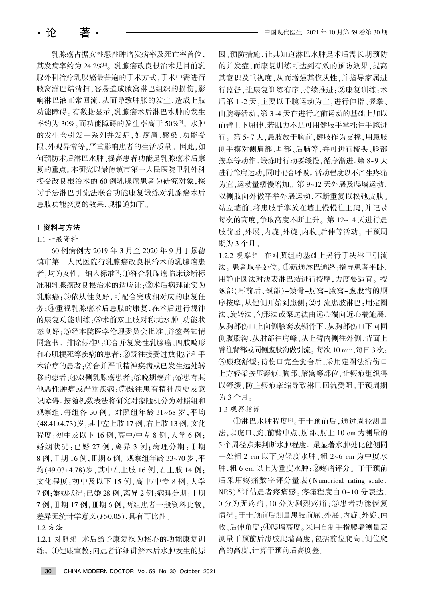乳腺癌占据女性恶性肿瘤发病率及死亡率首位, 其发病率约为 24.2%[1]。乳腺癌改良根治术是目前乳 腺外科治疗乳腺癌最普遍的手术方式,手术中需进行 腋窝淋巴结清扫,容易造成腋窝淋巴组织的损伤,影 响淋巴液正常回流,从而导致肿胀的发生,造成上肢 功能障碍。有数据显示,乳腺癌术后淋巴水肿的发生 率约为 30%, 而功能障碍的发生率高于 50%[2]。水肿 的发生会引发一系列并发症,如疼痛、感染、功能受 限、外观异常等,严重影响患者的生活质量。因此,如 何预防术后淋巴水肿、提高患者功能是乳腺癌术后康 复的重点。本研究以景德镇市第一人民医院甲乳外科 接受改良根治术的60例乳腺癌患者为研究对象,探 讨手法淋巴引流法联合功能康复锻炼对乳腺癌术后 患肢功能恢复的效果,现报道如下。

## 1 资料与方法

# 1.1 一般资料

60 例病例为 2019 年 3 月至 2020 年 9 月于景德 镇市第一人民医院行乳腺癌改良根治术的乳腺癌患 者,均为女性。纳入标准[3]:①符合乳腺癌临床诊断标 准和乳腺癌改良根治术的适应证: ②术后病理证实为 乳腺癌:3依从性良好,可配合完成相对应的康复任 务:4重视乳腺癌术后患肢的康复,在术后进行规律 的康复功能训练;5术前双上肢对称无水肿、功能状 态良好;⑥经本院医学伦理委员会批准,并签署知情 同意书。排除标准[4]:①合并复发性乳腺癌、四肢畸形 和心肌梗死等疾病的患者;2既往接受过放化疗和手 术治疗的患者;3合并严重精神疾病或已发生远处转 移的患者;4双侧乳腺癌患者;5晚期癌症;6患有其 他恶性肿瘤或严重疾病; ⑦既往患有精神病史及意 识障碍。按随机数表法将研究对象随机分为对照组和 观察组,每组各 30 例。对照组年龄 31~68 岁,平均 (48.41±4.73)岁, 其中左上肢 17 例, 右上肢 13 例。文化 程度: 初中及以下 16 例, 高中/中专 8 例, 大学 6 例; 婚姻状况:已婚 27 例,离异 3 例;病理分期: I 期 8 例, Ⅱ 期 16 例, Ⅲ 期 6 例。观察组年龄 33~70 岁, 平 均(49.03±4.78)岁,其中左上肢 16 例,右上肢 14 例; 文化程度: 初中及以下 15 例, 高中/中专 8 例, 大学 7 例;婚姻状况:已婚 28 例,离异 2 例;病理分期: I 期 7 例, Ⅱ期 17 例, Ⅲ期 6 例, 两组患者一般资料比较, 差异无统计学意义 $(P>0.05)$ , 具有可比性。

## 1.2 方法

1.2.1 对照组 术后给予康复操为核心的功能康复训 练。①健康宣教:向患者详细讲解术后水肿发生的原 因、预防措施,让其知道淋巴水肿是术后需长期预防 的并发症,而康复训练可达到有效的预防效果,提高 其意识及重视度,从而增强其依从性,并指导家属进 行监督,让康复训练有序、持续推进;②康复训练:术 后第 1~2 天, 主要以手腕运动为主, 进行伸指、握拳、 曲腕等活动。第 3~4 天在进行之前运动的基础上加以 前臂上下屈伸,若肌力不足可用健肢手掌托住手腕进 行。第 5~7 天,患肢放于胸前,健肢作为支撑,用患肢 侧手摸对侧肩部、耳部、后脑等,并可进行梳头、脸部 按摩等动作。锻炼时行动要缓慢,循序渐进。第 8~9 天 进行耸肩运动,同时配合呼吸。活动程度以不产生疼痛 为宜,运动量缓慢增加。第 9~12 天外展及爬墙运动, 双侧肢向外做平举外展运动,不断重复以松弛皮肤。 站立墙前,将患肢手掌放在墙上慢慢往上爬,并记录 每次的高度,争取高度不断上升。第 12~14 天进行患 肢前屈、外展、内旋、内收、后伸等活动。干预周 期为3个月。

1.2.2 观察组 在对照组的基础上另行手法淋巴引流 法。患者取平卧位。①疏通淋巴通路:指导患者平卧, 用静止圆法对浅表淋巴结进行按摩,力度要适宜。按 颈部(耳前后、颈部)-锁骨-肘窝-腋窝-腹股沟的顺 序按摩,从健侧开始到患侧;2引流患肢淋巴:用定圈 法、旋转法、勺形法或泵送法由远心端向近心端施展, 从胸部伤口下向同 侧腹股沟、从肘部往肩峰、从上臂内侧往外侧、背面上 臂往背部或同侧腹股沟做引流。每次 10 min,每日 3 次; 3瘢痕舒缓:待伤口完全愈合后,采用定圈法沿伤口 上方轻柔按压瘢痕、胸部、腋窝等部位,让瘢痕组织得 以舒缓,防止瘢痕挛缩导致淋巴回流受阻。干预周期 为 3 个月。

# 1.3 观察指标

①淋巴水肿程度<sup>[5]</sup>。于干预前后,通过周径测量 法,以虎口、腕、前臂中点、肘部、肘上 10 cm 为测量的 5个周径点来判断水肿程度。最显著水肿处比健侧同 一处粗 2 cm 以下为轻度水肿、粗 2~6 cm 为中度水 肿,粗 6 cm 以上为重度水肿;②疼痛评分。于干预前 后采用疼痛数字评分量表(Numerical rating scale, NRS)<sup>[6]</sup>评估患者疼痛感。疼痛程度由 0~10 分表达, 0分为无疼痛, 10分为剧烈疼痛: 3 患者功能恢复 情况。于干预前后测量患肢前屈、外展、内旋、外旋、内 收、后伸角度:40爬墙高度。采用自制手指爬墙测量表 测量干预前后患肢爬墙高度,包括前位爬高、侧位爬 高的高度,计算干预前后高度差。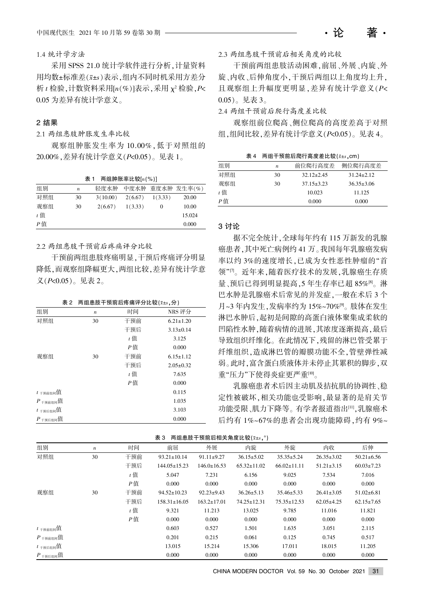1.4 统计学方法

采用 SPSS 21.0 统计学软件进行分析, 计量资料 用均数±标准差(x±s)表示,组内不同时机采用方差分  $\pi_t$  检验, 计数资料采用 $[n(\%)]$ 表示, 采用  $\chi^2$  检验,  $P$ < 0.05 为差异有统计学意义。

#### 2 结果

#### 2.1 两组患肢肿胀发生率比较

观察组肿胀发生率为 10.00%, 低于对照组的 20.00%, 差异有统计学意义 (P<0.05)。见表 1。

表 1 两组肿胀率比较 $[n(\%)]$ 

| 组别    | $\boldsymbol{n}$ | 轻度水肿     | 中度水肿    |          | 重度水肿 发生率(%) |
|-------|------------------|----------|---------|----------|-------------|
| 对照组   | 30               | 3(10.00) | 2(6.67) | 1(3.33)  | 20.00       |
| 观察组   | 30               | 2(6.67)  | 1(3.33) | $\theta$ | 10.00       |
| $t$ 值 |                  |          |         |          | 15.024      |
| P值    |                  |          |         |          | 0.000       |

# 2.2 两组患肢干预前后疼痛评分比较

干预前两组患肢疼痛明显,干预后疼痛评分明显 降低,而观察组降幅更大,两组比较,差异有统计学意 义 $( P< 0.05 )$ 。见表 2。

|  | 表 2 两组患肢干预前后疼痛评分比较( $\bar{x}$ ± $s$ ,分) |  |  |
|--|-----------------------------------------|--|--|
|--|-----------------------------------------|--|--|

| 组别                          | $\boldsymbol{n}$ | 时间    | NRS 评分          |
|-----------------------------|------------------|-------|-----------------|
| 对照组                         | 30               | 干预前   | $6.21 \pm 1.20$ |
|                             |                  | 干预后   | $3.13 \pm 0.14$ |
|                             |                  | $t$ 值 | 3.125           |
|                             |                  | P值    | 0.000           |
| 观察组                         | 30               | 干预前   | $6.15 \pm 1.12$ |
|                             |                  | 干预后   | $2.05 \pm 0.32$ |
|                             |                  | $t$ 值 | 7.635           |
|                             |                  | P值    | 0.000           |
| $t_{\text{H}}$ 前组间值         |                  |       | 0.115           |
| $P_{\pm \frac{\pi}{2}$ 所组间值 |                  |       | 1.035           |
| $t_{\text{H}}$ 干预后组间值       |                  |       | 3.103           |
| $P_{\pm\text{H}}$ 后组间值      |                  |       | 0.000           |

2.3 两组患肢干预前后相关角度的比较

干预前两组患肢活动困难,前屈、外展、内旋、外 旋、内收、后伸角度小,干预后两组以上角度均上升。 且观察组上升幅度更明显,差异有统计学意义(P<  $(0.05)$ 。见表 3。

・论 著・

2.4 两组干预前后爬行高度差比较

观察组前位爬高、侧位爬高的高度差高于对照 组,组间比较,差异有统计学意义 $(P< 0.05)$ 。见表 4。

表 4 两组干预前后爬行高度差比较 $(x \pm s \cdot \text{cm})$ 

| 组别    | n  | 前位爬行高度差          | 侧位爬行高度差          |
|-------|----|------------------|------------------|
| 对照组   | 30 | $32.12 \pm 2.45$ | $31.24 + 2.12$   |
| 观察组   | 30 | $37.15 \pm 3.23$ | $36.35 \pm 3.06$ |
| $t$ 值 |    | 10.023           | 11.125           |
| P値    |    | 0.000            | 0.000            |

#### 3 讨论

据不完全统计,全球每年约有 115 万新发的乳腺 癌患者,其中死亡病例约 41 万。我国每年乳腺癌发病 率以约3%的速度增长,已成为女性恶性肿瘤的"首 领"四。近年来,随着医疗技术的发展,乳腺癌生存质 量、预后已得到明显提高,5 年生存率已超 85%[8]。淋 巴水肿是乳腺癌术后常见的并发症, 一般在术后 3 个 月~3年内发生,发病率约为 15%~70%[9]。肢体在发生 淋巴水肿后,起初是间隙的高蛋白液体聚集成柔软的 凹陷性水肿,随着病情的进展,其浓度逐渐提高,最后 导致组织纤维化。在此情况下,残留的淋巴管受累于 纤维组织,造成淋巴管的瓣膜功能不全,管壁弹性减 弱。此时,富含蛋白质液体并未停止其累积的脚步,双 重"压力"下使得炎症更严重[10]。

乳腺癌患者术后因主动肌及拮抗肌的协调性、稳 定性被破坏,相关功能也受影响,最显著的是肩关节 功能受限、肌力下降等。有学者报道指出[11],乳腺癌术 后约有 1%~67%的患者会出现功能障碍,约有 9%~

| 表 3 两组患肢干预前后相关角度比较( $\bar{x}$ ±s, $^{\circ}$ ) |  |
|------------------------------------------------|--|
|------------------------------------------------|--|

| 组别                            | $\boldsymbol{n}$ | 时间    | 前屈                 | 外展                | 内旋                | 外旋                | 内收               | 后伸               |
|-------------------------------|------------------|-------|--------------------|-------------------|-------------------|-------------------|------------------|------------------|
| 对照组                           | 30               | 干预前   | $93.21 \pm 10.14$  | $91.11 \pm 9.27$  | $36.15 \pm 5.02$  | $35.35 \pm 5.24$  | $26.35 \pm 3.02$ | $50.21 \pm 6.56$ |
|                               |                  | 干预后   | $144.05 \pm 15.23$ | $146.0 \pm 16.53$ | $65.32 \pm 11.02$ | $66.02 \pm 11.11$ | $51.21 \pm 3.15$ | $60.03 \pm 7.23$ |
|                               |                  | $t$ 值 | 5.047              | 7.231             | 6.156             | 9.025             | 7.534            | 7.016            |
|                               |                  | P值    | 0.000              | 0.000             | 0.000             | 0.000             | 0.000            | 0.000            |
| 观察组                           | 30               | 干预前   | $94.52 \pm 10.23$  | $92.23 \pm 9.43$  | $36.26 \pm 5.13$  | $35.46 \pm 5.33$  | $26.41 \pm 3.05$ | $51.02 \pm 6.81$ |
|                               |                  | 干预后   | $158.31 \pm 16.05$ | $163.2 \pm 17.01$ | $74.25 \pm 12.31$ | $75.35 \pm 12.53$ | $62.05\pm4.25$   | $62.15 \pm 7.65$ |
|                               |                  | $t$ 值 | 9.321              | 11.213            | 13.025            | 9.785             | 11.016           | 11.821           |
|                               |                  | Р值    | 0.000              | 0.000             | 0.000             | 0.000             | 0.000            | 0.000            |
| $t_{\pm \frac{2\pi}{1000}}$ 值 |                  |       | 0.603              | 0.527             | 1.501             | 1.635             | 3.051            | 2.115            |
| $P_{\pm \frac{2\pi}{1000}}$ 值 |                  |       | 0.201              | 0.215             | 0.061             | 0.125             | 0.745            | 0.517            |
| $t_{\pm \frac{1}{2}}$ 干预后组间值  |                  |       | 13.015             | 15.214            | 15.306            | 17.011            | 18.015           | 11.205           |
| $P_{\rm f+H\oplus H}$ 值       |                  |       | 0.000              | 0.000             | 0.000             | 0.000             | 0.000            | 0.000            |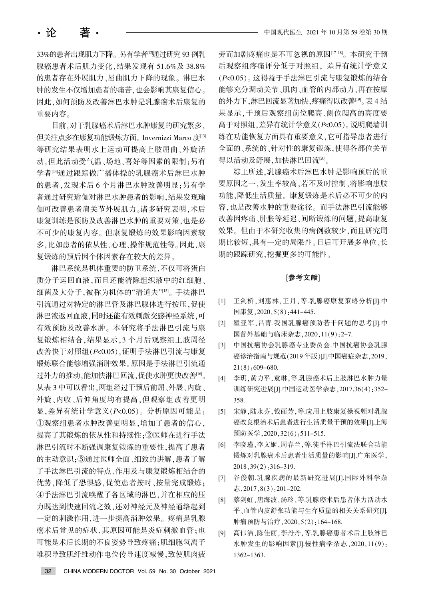33%的患者出现肌力下降。另有学者[2通过研究 93 例乳 腺癌患者术后肌力变化,结果发现有 51.6%及 38.8% 的患者存在外展肌力、屈曲肌力下降的现象。淋巴水 肿的发生不仅增加患者的痛苦,也会影响其康复信心。 因此,如何预防及改善淋巴水肿是乳腺癌术后康复的 重要内容。

目前,对于乳腺癌术后淋巴水肿康复的研究繁多, 但关注点多在康复功能锻炼方面。Invernizzi Marco 度[13] 等研究结果表明水上运动可提高上肢屈曲、外旋活 动,但此活动受气温、场地、喜好等因素的限制:另有 学者[4]通过跟踪做广播体操的乳腺癌术后淋巴水肿 的患者, 发现术后 6 个月淋巴水肿改善明显: 另有学 者通过研究瑜伽对淋巴水肿患者的影响,结果发现瑜 伽可改善患者肩关节外展肌力。诸多研究表明,术后 康复训练是预防及改善淋巴水肿的重要对策,也是必 不可少的康复内容。但康复锻炼的效果影响因素较 多,比如患者的依从性、心理、操作规范性等。因此,康 复锻炼的预后因个体因素存在较大的差异。

淋巴系统是机体重要的防卫系统,不仅可将蛋白 质分子运回血液,而且还能清除组织液中的红细胞、 细菌及大分子,被称为机体的"清道夫"[15]。手法淋巴 引流通过对特定的淋巴管及淋巴腺体进行按压,促使 淋巴液返回血液,同时还能有效刺激交感神经系统,可 有效预防及改善水肿。本研究将手法淋巴引流与康 复锻炼相结合,结果显示,3个月后观察组上肢周径 改善快于对照组(P<0.05),证明手法淋巴引流与康复 锻炼联合能够增强消肿效果。原因是手法淋巴引流通 过外力的推动,能加快淋巴回流,促使水肿更快改善<sup>[16]</sup>。 从表 3 中可以看出, 两组经过干预后前屈、外展、内旋、 外旋、内收、后伸角度均有提高,但观察组改善更明 显,差异有统计学意义(P<0.05)。分析原因可能是: ①观察组患者水肿改善更明显,增加了患者的信心, 提高了其锻炼的依从性和持续性; ②医师在进行手法 淋巴引流时不断强调康复锻炼的重要性,提高了患者 的主动意识;③通过医师全面、细致的讲解,患者了解 了手法淋巴引流的特点、作用及与康复锻炼相结合的 优势,降低了恐惧感,促使患者按时、按量完成锻炼; 4手法淋巴引流唤醒了各区域的淋巴,并在相应的压 力既达到快速回流之效,还对神经元及神经通络起到 一定的刺激作用,进一步提高消肿效果。疼痛是乳腺 癌术后常见的症状,其原因可能是炎症刺激血管;也 可能是术后长期的不良姿势导致疼痛:肌细胞氢离子 堆积导致肌纤维动作电位传导速度减慢,致使肌肉疲

劳而加剧疼痛也是不可忽视的原因[17-18]。本研究干预 后观察组疼痛评分低于对照组, 差异有统计学意义 (P<0.05)。这得益于手法淋巴引流与康复锻炼的结合 能够充分调动关节、肌肉、血管的内部动力,再在按摩 的外力下,淋巴回流显著加快,疼痛得以改善[9]。表 4 结 果显示,干预后观察组前位爬高、侧位爬高的高度要 高于对照组,差异有统计学意义(P<0.05)。说明爬墙训 练在功能恢复方面具有重要意义,它可指导患者进行 全面的、系统的、针对性的康复锻炼,使得各部位关节 得以活动及舒展,加快淋巴回流[20]。

综上所述,乳腺癌术后淋巴水肿是影响预后的重 要原因之一,发生率较高,若不及时控制,将影响患肢 功能,降低生活质量。康复锻炼是术后必不可少的内 容,也是改善水肿的重要途径。而手法淋巴引流能够 改善因疼痛、肿胀等延迟、间断锻炼的问题,提高康复 效果。但由于本研究收集的病例数较少,而且研究周 期比较短,具有一定的局限性。日后可开展多单位、长 期的跟踪研究,挖掘更多的可能性。

#### [参考文献]

- [1] 王剑桥, 刘惠林, 王月, 等.乳腺癌康复策略分析[J].中 国康复,  $2020, 5(8)$ : 441-445.
- [2] 瞿亚军,吕青.我国乳腺癌预防若干问题的思考[J].中 国普外基础与临床杂志, 2020, 11(9): 2-7.
- [3] 中国抗癌协会乳腺癌专业委员会.中国抗癌协会乳腺 癌诊治指南与规范(2019年版)[J].中国癌症杂志,2019,  $21(8)$ : 609-680.
- [4] 李玥,黄力平,袁琳,等.乳腺癌术后上肢淋巴水肿力量 训练研究进展[J].中国运动医学杂志, 2017,36(4): 352-358.
- [5] 宋静,陆永芬,钱丽芳,等.应用上肢康复操视频对乳腺 癌改良根治术后患者进行生活质量干预的效果[J]上海 预防医学, 2020, 32(6): 511-515.
- [6] 李晓瑾,李文姬,周春兰,等.徒手淋巴引流法联合功能 锻炼对乳腺癌术后患者生活质量的影响[J].广东医学,  $2018, 39(2)$ : 316-319.
- [7] 谷俊朝.乳腺疾病的最新研究进展[J].国际外科学杂 志,  $2017, 8(3)$ :  $201-202$ .
- [8] 蔡剑虹,唐海波,汤玲,等.乳腺癌术后患者体力活动水 平、血管内皮舒张功能与生存质量的相关关系研究[J]. 肿瘤预防与治疗, 2020, 5(2): 164-168.
- [9] 高伟洁, 陈佳丽, 李丹丹, 等.乳腺癌患者术后上肢淋巴 水肿发生的影响因素[J].慢性病学杂志. 2020.11(9): 1362-1363.